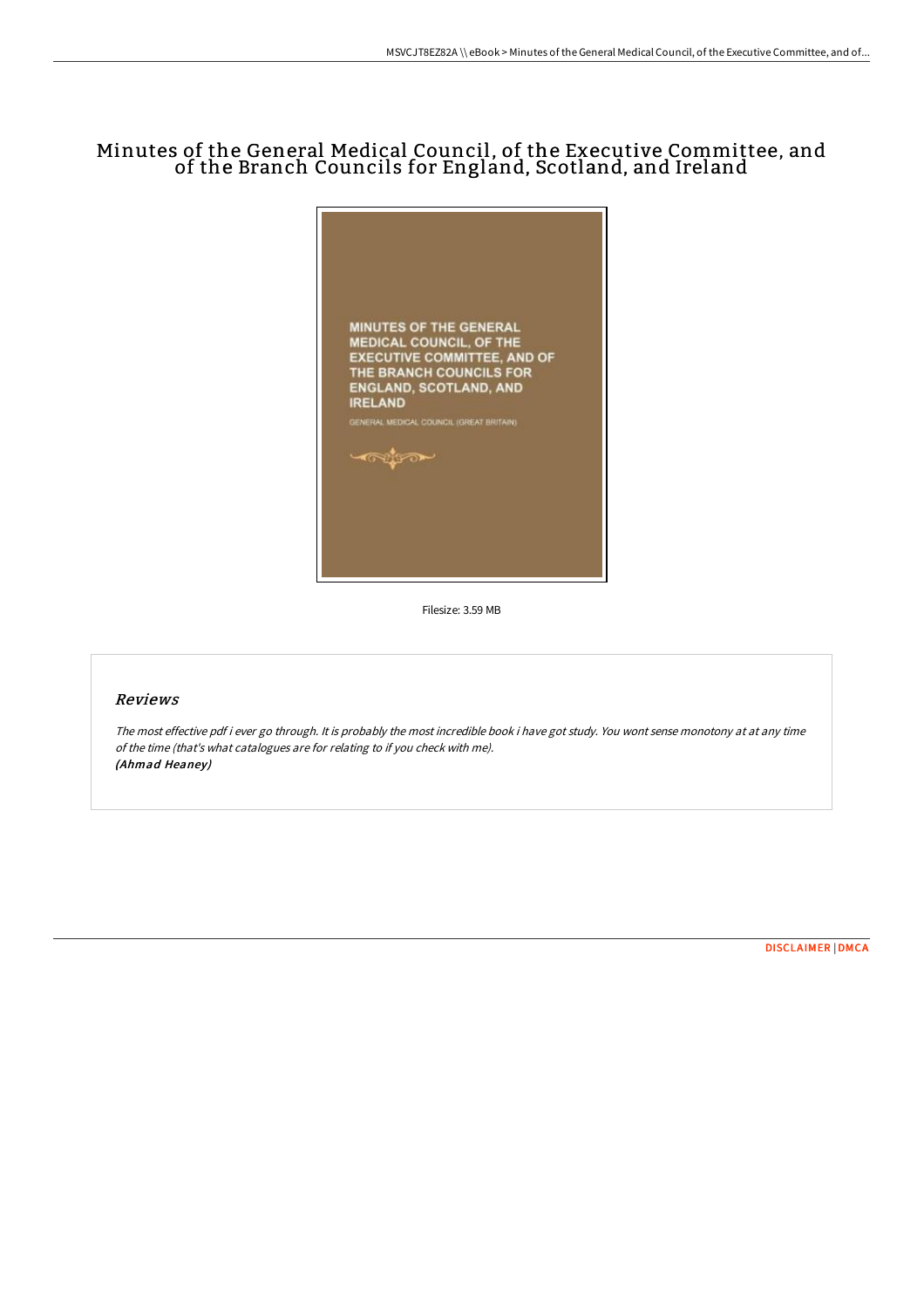# Minutes of the General Medical Council, of the Executive Committee, and of the Branch Councils for England, Scotland, and Ireland



Filesize: 3.59 MB

### Reviews

The most effective pdf i ever go through. It is probably the most incredible book i have got study. You wont sense monotony at at any time of the time (that's what catalogues are for relating to if you check with me). (Ahmad Heaney)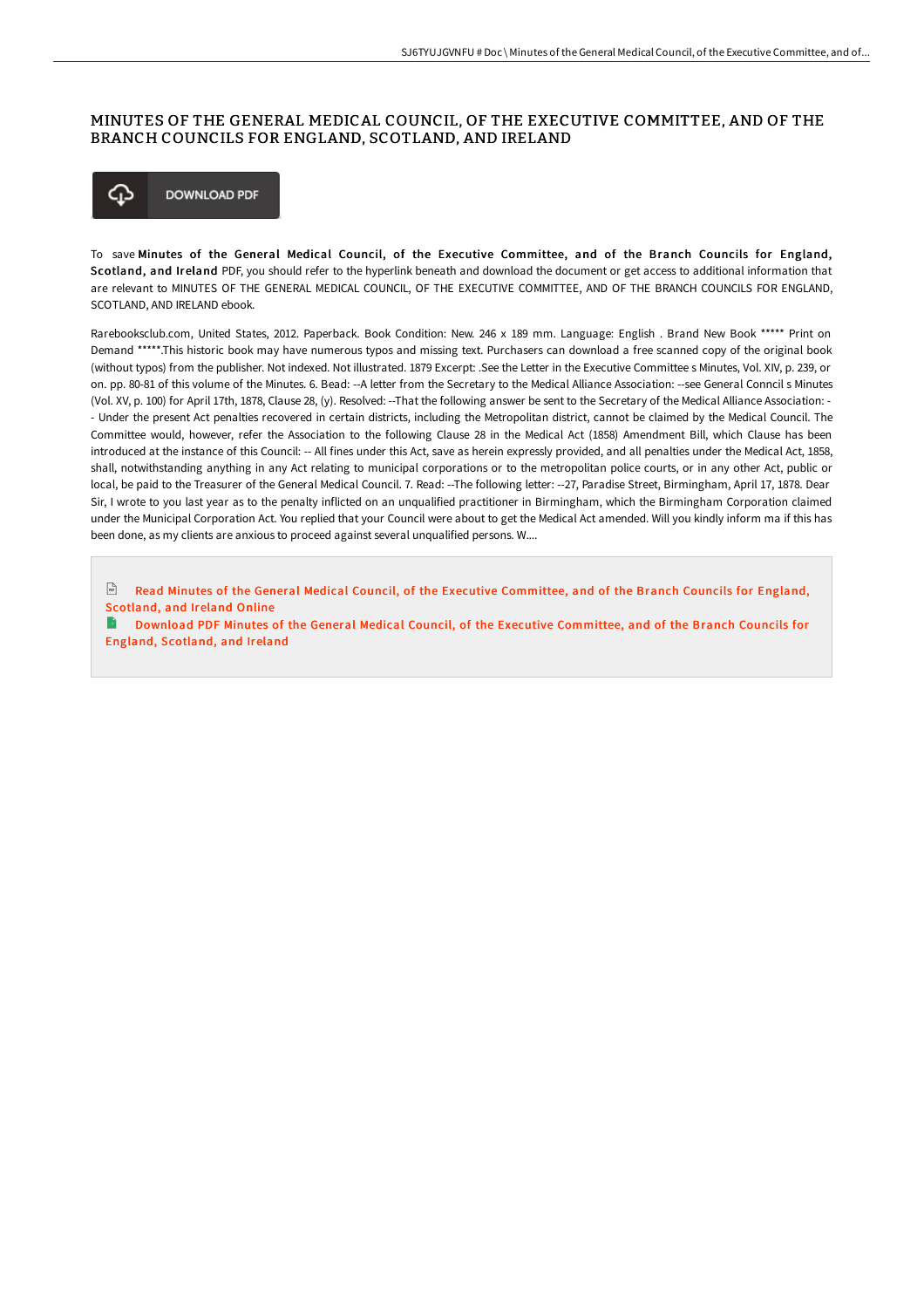## MINUTES OF THE GENERAL MEDICAL COUNCIL, OF THE EXECUTIVE COMMITTEE, AND OF THE BRANCH COUNCILS FOR ENGLAND, SCOTLAND, AND IRELAND



To save Minutes of the General Medical Council, of the Executive Committee, and of the Branch Councils for England, Scotland, and Ireland PDF, you should refer to the hyperlink beneath and download the document or get access to additional information that are relevant to MINUTES OF THE GENERAL MEDICAL COUNCIL, OF THE EXECUTIVE COMMITTEE, AND OF THE BRANCH COUNCILS FOR ENGLAND, SCOTLAND, AND IRELAND ebook.

Rarebooksclub.com, United States, 2012. Paperback. Book Condition: New. 246 x 189 mm. Language: English . Brand New Book \*\*\*\*\* Print on Demand \*\*\*\*\*.This historic book may have numerous typos and missing text. Purchasers can download a free scanned copy of the original book (without typos) from the publisher. Not indexed. Not illustrated. 1879 Excerpt: .See the Letter in the Executive Committee s Minutes, Vol. XIV, p. 239, or on. pp. 80-81 of this volume of the Minutes. 6. Bead: --A letter from the Secretary to the Medical Alliance Association: --see General Conncil s Minutes (Vol. XV, p. 100) for April 17th, 1878, Clause 28, (y). Resolved: --That the following answer be sent to the Secretary of the Medical Alliance Association: - - Under the present Act penalties recovered in certain districts, including the Metropolitan district, cannot be claimed by the Medical Council. The Committee would, however, refer the Association to the following Clause 28 in the Medical Act (1858) Amendment Bill, which Clause has been introduced at the instance of this Council: -- All fines under this Act, save as herein expressly provided, and all penalties under the Medical Act, 1858, shall, notwithstanding anything in any Act relating to municipal corporations or to the metropolitan police courts, or in any other Act, public or local, be paid to the Treasurer of the General Medical Council. 7. Read: --The following letter: --27, Paradise Street, Birmingham, April 17, 1878. Dear Sir, I wrote to you last year as to the penalty inflicted on an unqualified practitioner in Birmingham, which the Birmingham Corporation claimed under the Municipal Corporation Act. You replied that your Council were about to get the Medical Act amended. Will you kindly inform ma if this has been done, as my clients are anxious to proceed against several unqualified persons. W....

 $Ff(x)$ Read Minutes of the General Medical Council, of the Executive [Committee,](http://techno-pub.tech/minutes-of-the-general-medical-council-of-the-ex.html) and of the Branch Councils for England, Scotland, and Ireland Online

Download PDF Minutes of the General Medical Council, of the Executive [Committee,](http://techno-pub.tech/minutes-of-the-general-medical-council-of-the-ex.html) and of the Branch Councils for England, Scotland, and Ireland